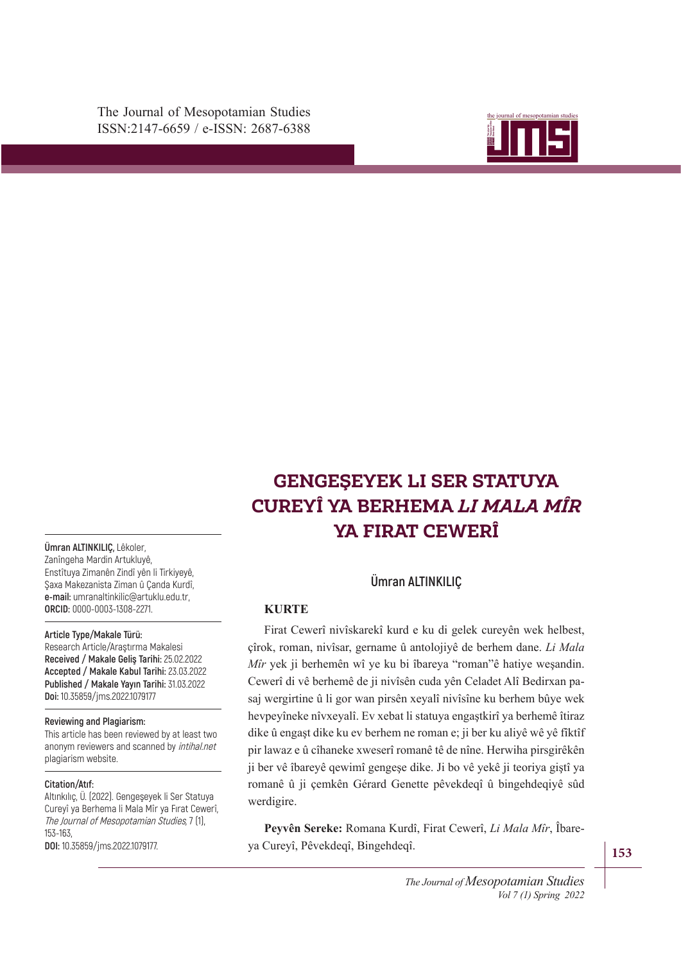The Journal of Mesopotamian Studies ISSN:2147-6659 / e-ISSN: 2687-6388



# MARDIǚN ARTUKLU **GENGEŞEYEK LI SER STATUYA CUREYÎ YA BERHEMA** *LI MALA MÎR* **YA FIRAT CEWERÎ**

**Ümran ALTINKILIÇ,** Lêkoler, Zanîngeha Mardin Artukluyê, Enstîtuya Zimanên Zindî yên li Tirkiyeyê, Şaxa Makezanista Ziman û Çanda Kurdî, **e-mail:** umranaltinkilic@artuklu.edu.tr, **ORCID:** 0000-0003-1308-2271.

#### **Article Type/Makale Türü:**

Research Article/Araştırma Makalesi **Received / Makale Geliş Tarihi:** 25.02.2022 **Accepted / Makale Kabul Tarihi:** 23.03.2022 **Published / Makale Yayın Tarihi:** 31.03.2022 **Doi:** 10.35859/jms.2022.1079177

#### **Reviewing and Plagiarism:**

This article has been reviewed by at least two anonym reviewers and scanned by intihal.net plagiarism website.

#### **Citation/Atıf:**

Altınkılıç, Ü. (2022). Gengeşeyek li Ser Statuya Cureyî ya Berhema li Mala Mîr ya Fırat Cewerî, The Journal of Mesopotamian Studies, 7 (1), 153-163,

**DOI:** 10.35859/jms.2022.1079177.

### **Ümran ALTINKILIÇ**

### **KURTE**

Firat Cewerî nivîskarekî kurd e ku di gelek cureyên wek helbest, çîrok, roman, nivîsar, gername û antolojiyê de berhem dane. *Li Mala Mîr* yek ji berhemên wî ye ku bi îbareya "roman"ê hatiye weşandin. Cewerî di vê berhemê de ji nivîsên cuda yên Celadet Alî Bedirxan pasaj wergirtine û li gor wan pirsên xeyalî nivîsîne ku berhem bûye wek hevpeyîneke nîvxeyalî. Ev xebat li statuya engaştkirî ya berhemê îtiraz dike û engaşt dike ku ev berhem ne roman e; ji ber ku aliyê wê yê fîktîf pir lawaz e û cîhaneke xweserî romanê tê de nîne. Herwiha pirsgirêkên ji ber vê îbareyê qewimî gengeşe dike. Ji bo vê yekê ji teoriya giştî ya romanê û ji çemkên Gérard Genette pêvekdeqî û bingehdeqiyê sûd werdigire.

**Peyvên Sereke:** Romana Kurdî, Firat Cewerî, *Li Mala Mîr*, Îbareya Cureyî, Pêvekdeqî, Bingehdeqî.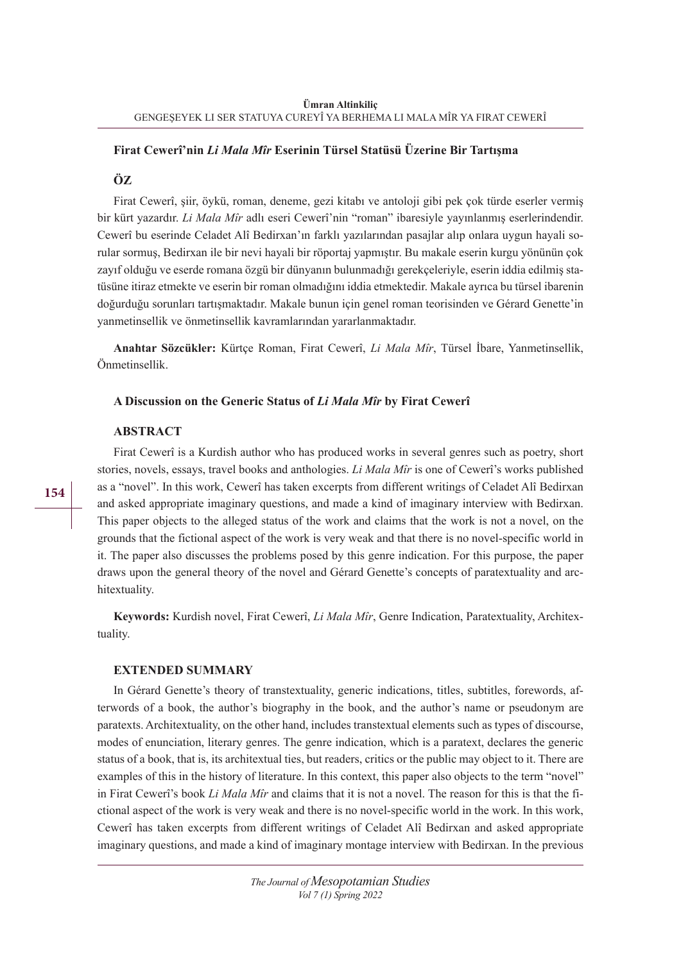### **Firat Cewerî'nin** *Li Mala Mîr* **Eserinin Türsel Statüsü Üzerine Bir Tartışma**

#### **ÖZ**

Firat Cewerî, şiir, öykü, roman, deneme, gezi kitabı ve antoloji gibi pek çok türde eserler vermiş bir kürt yazardır. *Li Mala Mîr* adlı eseri Cewerî'nin "roman" ibaresiyle yayınlanmış eserlerindendir. Cewerî bu eserinde Celadet Alî Bedirxan'ın farklı yazılarından pasajlar alıp onlara uygun hayali sorular sormuş, Bedirxan ile bir nevi hayali bir röportaj yapmıştır. Bu makale eserin kurgu yönünün çok zayıf olduğu ve eserde romana özgü bir dünyanın bulunmadığı gerekçeleriyle, eserin iddia edilmiş statüsüne itiraz etmekte ve eserin bir roman olmadığını iddia etmektedir. Makale ayrıca bu türsel ibarenin doğurduğu sorunları tartışmaktadır. Makale bunun için genel roman teorisinden ve Gérard Genette'in yanmetinsellik ve önmetinsellik kavramlarından yararlanmaktadır.

**Anahtar Sözcükler:** Kürtçe Roman, Firat Cewerî, *Li Mala Mîr*, Türsel İbare, Yanmetinsellik, Önmetinsellik.

#### **A Discussion on the Generic Status of** *Li Mala Mîr* **by Firat Cewerî**

#### **ABSTRACT**

Firat Cewerî is a Kurdish author who has produced works in several genres such as poetry, short stories, novels, essays, travel books and anthologies. *Li Mala Mîr* is one of Cewerî's works published as a "novel". In this work, Cewerî has taken excerpts from different writings of Celadet Alî Bedirxan and asked appropriate imaginary questions, and made a kind of imaginary interview with Bedirxan. This paper objects to the alleged status of the work and claims that the work is not a novel, on the grounds that the fictional aspect of the work is very weak and that there is no novel-specific world in it. The paper also discusses the problems posed by this genre indication. For this purpose, the paper draws upon the general theory of the novel and Gérard Genette's concepts of paratextuality and architextuality.

**Keywords:** Kurdish novel, Firat Cewerî, *Li Mala Mîr*, Genre Indication, Paratextuality, Architextuality.

#### **EXTENDED SUMMARY**

In Gérard Genette's theory of transtextuality, generic indications, titles, subtitles, forewords, afterwords of a book, the author's biography in the book, and the author's name or pseudonym are paratexts. Architextuality, on the other hand, includes transtextual elements such as types of discourse, modes of enunciation, literary genres. The genre indication, which is a paratext, declares the generic status of a book, that is, its architextual ties, but readers, critics or the public may object to it. There are examples of this in the history of literature. In this context, this paper also objects to the term "novel" in Firat Cewerî's book *Li Mala Mîr* and claims that it is not a novel. The reason for this is that the fictional aspect of the work is very weak and there is no novel-specific world in the work. In this work, Cewerî has taken excerpts from different writings of Celadet Alî Bedirxan and asked appropriate imaginary questions, and made a kind of imaginary montage interview with Bedirxan. In the previous

**154**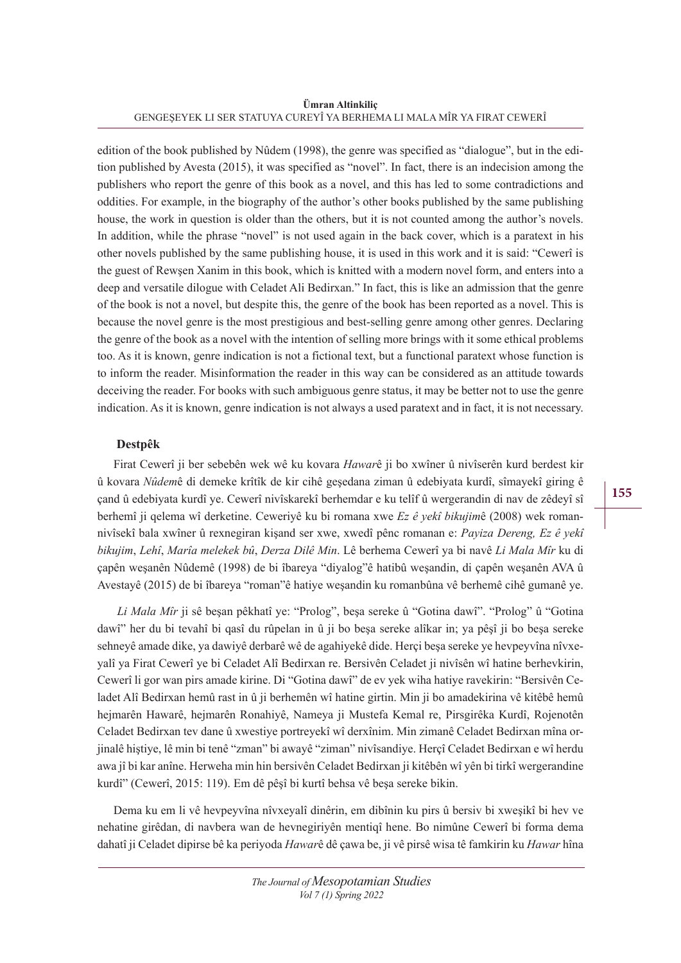**Ümran Altinkiliç** GENGEŞEYEK LI SER STATUYA CUREYÎ YA BERHEMA LI MALA MÎR YA FIRAT CEWERÎ

edition of the book published by Nûdem (1998), the genre was specified as "dialogue", but in the edition published by Avesta (2015), it was specified as "novel". In fact, there is an indecision among the publishers who report the genre of this book as a novel, and this has led to some contradictions and oddities. For example, in the biography of the author's other books published by the same publishing house, the work in question is older than the others, but it is not counted among the author's novels. In addition, while the phrase "novel" is not used again in the back cover, which is a paratext in his other novels published by the same publishing house, it is used in this work and it is said: "Cewerî is the guest of Rewşen Xanim in this book, which is knitted with a modern novel form, and enters into a deep and versatile dilogue with Celadet Ali Bedirxan." In fact, this is like an admission that the genre of the book is not a novel, but despite this, the genre of the book has been reported as a novel. This is because the novel genre is the most prestigious and best-selling genre among other genres. Declaring the genre of the book as a novel with the intention of selling more brings with it some ethical problems too. As it is known, genre indication is not a fictional text, but a functional paratext whose function is to inform the reader. Misinformation the reader in this way can be considered as an attitude towards deceiving the reader. For books with such ambiguous genre status, it may be better not to use the genre indication. As it is known, genre indication is not always a used paratext and in fact, it is not necessary.

### **Destpêk**

Firat Cewerî ji ber sebebên wek wê ku kovara *Hawar*ê ji bo xwîner û nivîserên kurd berdest kir û kovara *Nûdem*ê di demeke krîtîk de kir cihê geşedana ziman û edebiyata kurdî, sîmayekî giring ê çand û edebiyata kurdî ye. Cewerî nivîskarekî berhemdar e ku telîf û wergerandin di nav de zêdeyî sî berhemî ji qelema wî derketine. Ceweriyê ku bi romana xwe *Ez ê yekî bikujim*ê (2008) wek romannivîsekî bala xwîner û rexnegiran kişand ser xwe, xwedî pênc romanan e: *Payiza Dereng, Ez ê yekî bikujim*, *Lehî*, *Marîa melekek bû*, *Derza Dilê Min*. Lê berhema Cewerî ya bi navê *Li Mala Mîr* ku di çapên weşanên Nûdemê (1998) de bi îbareya "diyalog"ê hatibû weşandin, di çapên weşanên AVA û Avestayê (2015) de bi îbareya "roman"ê hatiye weşandin ku romanbûna vê berhemê cihê gumanê ye.

*Li Mala Mîr* ji sê beşan pêkhatî ye: "Prolog", beşa sereke û "Gotina dawî". "Prolog" û "Gotina dawî" her du bi tevahî bi qasî du rûpelan in û ji bo beşa sereke alîkar in; ya pêşî ji bo beşa sereke sehneyê amade dike, ya dawiyê derbarê wê de agahiyekê dide. Herçi beşa sereke ye hevpeyvîna nîvxeyalî ya Firat Cewerî ye bi Celadet Alî Bedirxan re. Bersivên Celadet ji nivîsên wî hatine berhevkirin, Cewerî li gor wan pirs amade kirine. Di "Gotina dawî" de ev yek wiha hatiye ravekirin: "Bersivên Celadet Alî Bedirxan hemû rast in û ji berhemên wî hatine girtin. Min ji bo amadekirina vê kitêbê hemû hejmarên Hawarê, hejmarên Ronahiyê, Nameya ji Mustefa Kemal re, Pirsgirêka Kurdî, Rojenotên Celadet Bedirxan tev dane û xwestiye portreyekî wî derxînim. Min zimanê Celadet Bedirxan mîna orjinalê hiştiye, lê min bi tenê "zman" bi awayê "ziman" nivîsandiye. Herçî Celadet Bedirxan e wî herdu awa jî bi kar anîne. Herweha min hin bersivên Celadet Bedirxan ji kitêbên wî yên bi tirkî wergerandine kurdî" (Cewerî, 2015: 119). Em dê pêşî bi kurtî behsa vê beşa sereke bikin.

Dema ku em li vê hevpeyvîna nîvxeyalî dinêrin, em dibînin ku pirs û bersiv bi xweşikî bi hev ve nehatine girêdan, di navbera wan de hevnegiriyên mentiqî hene. Bo nimûne Cewerî bi forma dema dahatî ji Celadet dipirse bê ka periyoda *Hawar*ê dê çawa be, ji vê pirsê wisa tê famkirin ku *Hawar* hîna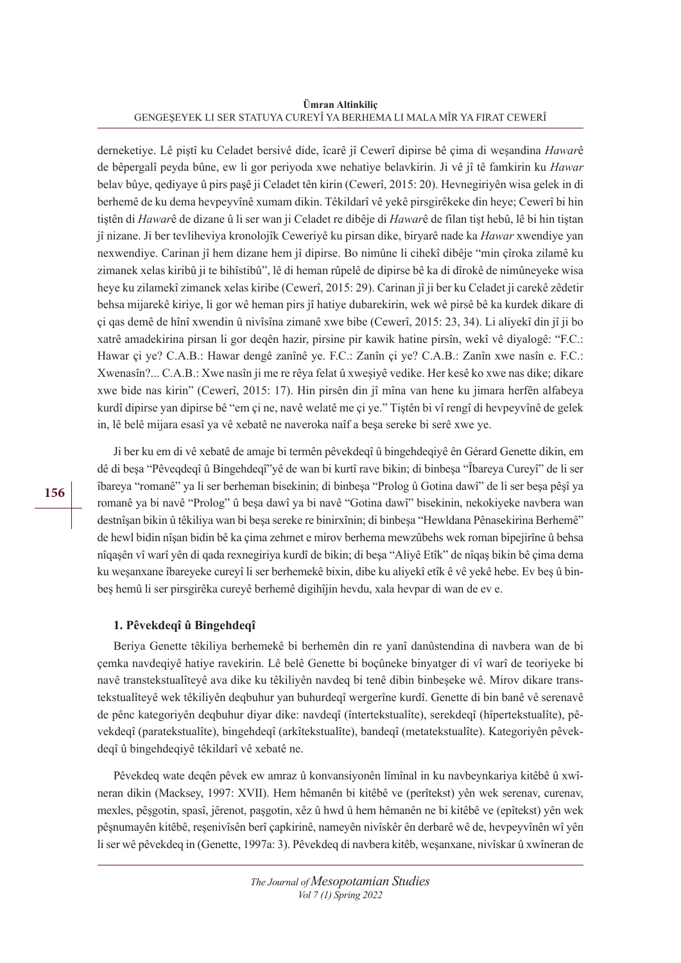**Ümran Altinkiliç** GENGEŞEYEK LI SER STATUYA CUREYÎ YA BERHEMA LI MALA MÎR YA FIRAT CEWERÎ

derneketiye. Lê piştî ku Celadet bersivê dide, îcarê jî Cewerî dipirse bê çima di weşandina *Hawar*ê de bêpergalî peyda bûne, ew li gor periyoda xwe nehatiye belavkirin. Ji vê jî tê famkirin ku *Hawar* belav bûye, qediyaye û pirs paşê ji Celadet tên kirin (Cewerî, 2015: 20). Hevnegiriyên wisa gelek in di berhemê de ku dema hevpeyvînê xumam dikin. Têkildarî vê yekê pirsgirêkeke din heye; Cewerî bi hin tiştên di *Hawar*ê de dizane û li ser wan ji Celadet re dibêje di *Hawar*ê de filan tişt hebû, lê bi hin tiştan jî nizane. Ji ber tevliheviya kronolojîk Ceweriyê ku pirsan dike, biryarê nade ka *Hawar* xwendiye yan nexwendiye. Carinan jî hem dizane hem jî dipirse. Bo nimûne li cihekî dibêje "min çîroka zilamê ku zimanek xelas kiribû ji te bihîstibû", lê di heman rûpelê de dipirse bê ka di dîrokê de nimûneyeke wisa heye ku zilamekî zimanek xelas kiribe (Cewerî, 2015: 29). Carinan jî ji ber ku Celadet ji carekê zêdetir behsa mijarekê kiriye, li gor wê heman pirs jî hatiye dubarekirin, wek wê pirsê bê ka kurdek dikare di çi qas demê de hînî xwendin û nivîsîna zimanê xwe bibe (Cewerî, 2015: 23, 34). Li aliyekî din jî ji bo xatrê amadekirina pirsan li gor deqên hazir, pirsine pir kawik hatine pirsîn, wekî vê diyalogê: "F.C.: Hawar çi ye? C.A.B.: Hawar dengê zanînê ye. F.C.: Zanîn çi ye? C.A.B.: Zanîn xwe nasîn e. F.C.: Xwenasîn?... C.A.B.: Xwe nasîn ji me re rêya felat û xweşiyê vedike. Her kesê ko xwe nas dike; dikare xwe bide nas kirin" (Cewerî, 2015: 17). Hin pirsên din jî mîna van hene ku jimara herfên alfabeya kurdî dipirse yan dipirse bê "em çi ne, navê welatê me çi ye." Tiştên bi vî rengî di hevpeyvînê de gelek in, lê belê mijara esasî ya vê xebatê ne naveroka naîf a beşa sereke bi serê xwe ye.

Ji ber ku em di vê xebatê de amaje bi termên pêvekdeqî û bingehdeqiyê ên Gérard Genette dikin, em dê di beşa "Pêveqdeqî û Bingehdeqî"yê de wan bi kurtî rave bikin; di binbeşa "Îbareya Cureyî" de li ser îbareya "romanê" ya li ser berheman bisekinin; di binbeşa "Prolog û Gotina dawî" de li ser beşa pêşî ya romanê ya bi navê "Prolog" û beşa dawî ya bi navê "Gotina dawî" bisekinin, nekokiyeke navbera wan destnîşan bikin û têkiliya wan bi beşa sereke re binirxînin; di binbeşa "Hewldana Pênasekirina Berhemê" de hewl bidin nîşan bidin bê ka çima zehmet e mirov berhema mewzûbehs wek roman bipejirîne û behsa nîqaşên vî warî yên di qada rexnegiriya kurdî de bikin; di beşa "Aliyê Etîk" de nîqaş bikin bê çima dema ku weşanxane îbareyeke cureyî li ser berhemekê bixin, dibe ku aliyekî etîk ê vê yekê hebe. Ev beş û binbeş hemû li ser pirsgirêka cureyê berhemê digihîjin hevdu, xala hevpar di wan de ev e.

### **1. Pêvekdeqî û Bingehdeqî**

Beriya Genette têkiliya berhemekê bi berhemên din re yanî danûstendina di navbera wan de bi çemka navdeqiyê hatiye ravekirin. Lê belê Genette bi boçûneke binyatger di vî warî de teoriyeke bi navê transtekstualîteyê ava dike ku têkiliyên navdeq bi tenê dibin binbeşeke wê. Mirov dikare transtekstualîteyê wek têkiliyên deqbuhur yan buhurdeqî wergerîne kurdî. Genette di bin banê vê serenavê de pênc kategoriyên deqbuhur diyar dike: navdeqî (întertekstualîte), serekdeqî (hîpertekstualîte), pêvekdeqî (paratekstualîte), bingehdeqî (arkîtekstualîte), bandeqî (metatekstualîte). Kategoriyên pêvekdeqî û bingehdeqiyê têkildarî vê xebatê ne.

Pêvekdeq wate deqên pêvek ew amraz û konvansiyonên lîmînal in ku navbeynkariya kitêbê û xwîneran dikin (Macksey, 1997: XVII). Hem hêmanên bi kitêbê ve (perîtekst) yên wek serenav, curenav, mexles, pêşgotin, spasî, jêrenot, paşgotin, xêz û hwd û hem hêmanên ne bi kitêbê ve (epîtekst) yên wek pêşnumayên kitêbê, reşenivîsên berî çapkirinê, nameyên nivîskêr ên derbarê wê de, hevpeyvînên wî yên li ser wê pêvekdeq in (Genette, 1997a: 3). Pêvekdeq di navbera kitêb, weşanxane, nivîskar û xwîneran de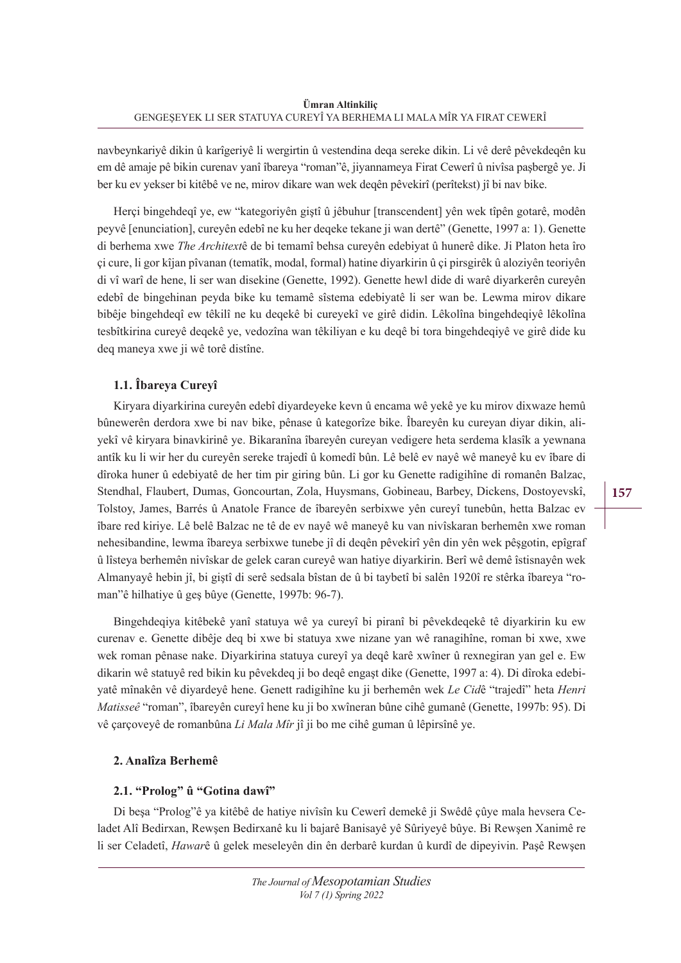navbeynkariyê dikin û karîgeriyê li wergirtin û vestendina deqa sereke dikin. Li vê derê pêvekdeqên ku em dê amaje pê bikin curenav yanî îbareya "roman"ê, jiyannameya Firat Cewerî û nivîsa paşbergê ye. Ji ber ku ev yekser bi kitêbê ve ne, mirov dikare wan wek deqên pêvekirî (perîtekst) jî bi nav bike.

Herçi bingehdeqî ye, ew "kategoriyên giştî û jêbuhur [transcendent] yên wek tîpên gotarê, modên peyvê [enunciation], cureyên edebî ne ku her deqeke tekane ji wan dertê" (Genette, 1997 a: 1). Genette di berhema xwe *The Architext*ê de bi temamî behsa cureyên edebiyat û hunerê dike. Ji Platon heta îro çi cure, li gor kîjan pîvanan (tematîk, modal, formal) hatine diyarkirin û çi pirsgirêk û aloziyên teoriyên di vî warî de hene, li ser wan disekine (Genette, 1992). Genette hewl dide di warê diyarkerên cureyên edebî de bingehinan peyda bike ku temamê sîstema edebiyatê li ser wan be. Lewma mirov dikare bibêje bingehdeqî ew têkilî ne ku deqekê bi cureyekî ve girê didin. Lêkolîna bingehdeqiyê lêkolîna tesbîtkirina cureyê deqekê ye, vedozîna wan têkiliyan e ku deqê bi tora bingehdeqiyê ve girê dide ku deq maneya xwe ji wê torê distîne.

# **1.1. Îbareya Cureyî**

Kiryara diyarkirina cureyên edebî diyardeyeke kevn û encama wê yekê ye ku mirov dixwaze hemû bûnewerên derdora xwe bi nav bike, pênase û kategorîze bike. Îbareyên ku cureyan diyar dikin, aliyekî vê kiryara binavkirinê ye. Bikaranîna îbareyên cureyan vedigere heta serdema klasîk a yewnana antîk ku li wir her du cureyên sereke trajedî û komedî bûn. Lê belê ev nayê wê maneyê ku ev îbare di dîroka huner û edebiyatê de her tim pir giring bûn. Li gor ku Genette radigihîne di romanên Balzac, Stendhal, Flaubert, Dumas, Goncourtan, Zola, Huysmans, Gobineau, Barbey, Dickens, Dostoyevskî, Tolstoy, James, Barrés û Anatole France de îbareyên serbixwe yên cureyî tunebûn, hetta Balzac ev îbare red kiriye. Lê belê Balzac ne tê de ev nayê wê maneyê ku van nivîskaran berhemên xwe roman nehesibandine, lewma îbareya serbixwe tunebe jî di deqên pêvekirî yên din yên wek pêşgotin, epîgraf û lîsteya berhemên nivîskar de gelek caran cureyê wan hatiye diyarkirin. Berî wê demê îstisnayên wek Almanyayê hebin jî, bi giştî di serê sedsala bîstan de û bi taybetî bi salên 1920î re stêrka îbareya "roman"ê hilhatiye û geş bûye (Genette, 1997b: 96-7).

Bingehdeqiya kitêbekê yanî statuya wê ya cureyî bi piranî bi pêvekdeqekê tê diyarkirin ku ew curenav e. Genette dibêje deq bi xwe bi statuya xwe nizane yan wê ranagihîne, roman bi xwe, xwe wek roman pênase nake. Diyarkirina statuya cureyî ya deqê karê xwîner û rexnegiran yan gel e. Ew dikarin wê statuyê red bikin ku pêvekdeq ji bo deqê engaşt dike (Genette, 1997 a: 4). Di dîroka edebiyatê mînakên vê diyardeyê hene. Genett radigihîne ku ji berhemên wek *Le Cid*ê "trajedî" heta *Henri Matisseê* "roman", îbareyên cureyî hene ku ji bo xwîneran bûne cihê gumanê (Genette, 1997b: 95). Di vê çarçoveyê de romanbûna *Li Mala Mîr* jî ji bo me cihê guman û lêpirsînê ye.

# **2. Analîza Berhemê**

# **2.1. "Prolog" û "Gotina dawî"**

Di beşa "Prolog"ê ya kitêbê de hatiye nivîsîn ku Cewerî demekê ji Swêdê çûye mala hevsera Celadet Alî Bedirxan, Rewşen Bedirxanê ku li bajarê Banisayê yê Sûriyeyê bûye. Bi Rewşen Xanimê re li ser Celadetî, *Hawar*ê û gelek meseleyên din ên derbarê kurdan û kurdî de dipeyivin. Paşê Rewşen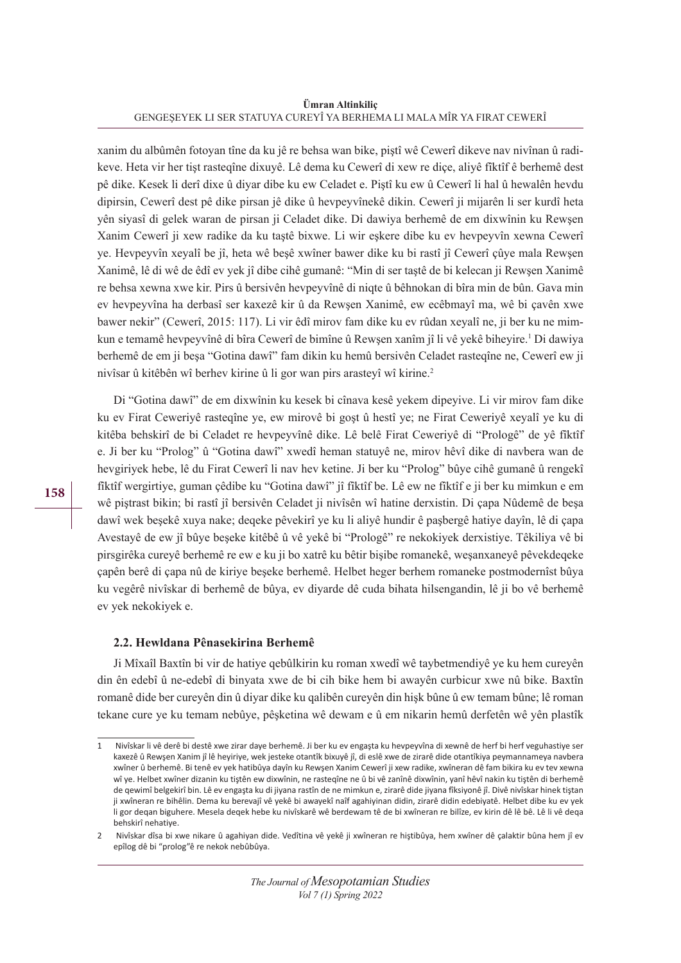**Ümran Altinkiliç** GENGEŞEYEK LI SER STATUYA CUREYÎ YA BERHEMA LI MALA MÎR YA FIRAT CEWERÎ

xanim du albûmên fotoyan tîne da ku jê re behsa wan bike, piştî wê Cewerî dikeve nav nivînan û radikeve. Heta vir her tişt rasteqîne dixuyê. Lê dema ku Cewerî di xew re diçe, aliyê fîktîf ê berhemê dest pê dike. Kesek li derî dixe û diyar dibe ku ew Celadet e. Piştî ku ew û Cewerî li hal û hewalên hevdu dipirsin, Cewerî dest pê dike pirsan jê dike û hevpeyvînekê dikin. Cewerî ji mijarên li ser kurdî heta yên siyasî di gelek waran de pirsan ji Celadet dike. Di dawiya berhemê de em dixwînin ku Rewşen Xanim Cewerî ji xew radike da ku taştê bixwe. Li wir eşkere dibe ku ev hevpeyvîn xewna Cewerî ye. Hevpeyvîn xeyalî be jî, heta wê beşê xwîner bawer dike ku bi rastî jî Cewerî çûye mala Rewşen Xanimê, lê di wê de êdî ev yek jî dibe cihê gumanê: "Min di ser taştê de bi kelecan ji Rewşen Xanimê re behsa xewna xwe kir. Pirs û bersivên hevpeyvînê di niqte û bêhnokan di bîra min de bûn. Gava min ev hevpeyvîna ha derbasî ser kaxezê kir û da Rewşen Xanimê, ew ecêbmayî ma, wê bi çavên xwe bawer nekir" (Cewerî, 2015: 117). Li vir êdî mirov fam dike ku ev rûdan xeyalî ne, ji ber ku ne mimkun e temamê hevpeyvînê di bîra Cewerî de bimîne û Rewşen xanîm jî li vê yekê biheyire.' Di dawiya berhemê de em ji beşa "Gotina dawî" fam dikin ku hemû bersivên Celadet rasteqîne ne, Cewerî ew ji nivîsar û kitêbên wî berhev kirine û li gor wan pirs arasteyî wî kirine.2

Di "Gotina dawî" de em dixwînin ku kesek bi cînava kesê yekem dipeyive. Li vir mirov fam dike ku ev Firat Ceweriyê rasteqîne ye, ew mirovê bi goşt û hestî ye; ne Firat Ceweriyê xeyalî ye ku di kitêba behskirî de bi Celadet re hevpeyvînê dike. Lê belê Firat Ceweriyê di "Prologê" de yê fîktîf e. Ji ber ku "Prolog" û "Gotina dawî" xwedî heman statuyê ne, mirov hêvî dike di navbera wan de hevgiriyek hebe, lê du Firat Cewerî li nav hev ketine. Ji ber ku "Prolog" bûye cihê gumanê û rengekî fîktîf wergirtiye, guman çêdibe ku "Gotina dawî" jî fîktîf be. Lê ew ne fîktîf e ji ber ku mimkun e em wê piştrast bikin; bi rastî jî bersivên Celadet ji nivîsên wî hatine derxistin. Di çapa Nûdemê de beşa dawî wek beşekê xuya nake; deqeke pêvekirî ye ku li aliyê hundir ê paşbergê hatiye dayîn, lê di çapa Avestayê de ew jî bûye beşeke kitêbê û vê yekê bi "Prologê" re nekokiyek derxistiye. Têkiliya vê bi pirsgirêka cureyê berhemê re ew e ku ji bo xatrê ku bêtir bişibe romanekê, weşanxaneyê pêvekdeqeke çapên berê di çapa nû de kiriye beşeke berhemê. Helbet heger berhem romaneke postmodernîst bûya ku vegêrê nivîskar di berhemê de bûya, ev diyarde dê cuda bihata hilsengandin, lê ji bo vê berhemê ev yek nekokiyek e.

#### **2.2. Hewldana Pênasekirina Berhemê**

Ji Mîxaîl Baxtîn bi vir de hatiye qebûlkirin ku roman xwedî wê taybetmendiyê ye ku hem cureyên din ên edebî û ne-edebî di binyata xwe de bi cih bike hem bi awayên curbicur xwe nû bike. Baxtîn romanê dide ber cureyên din û diyar dike ku qalibên cureyên din hişk bûne û ew temam bûne; lê roman tekane cure ye ku temam nebûye, pêşketina wê dewam e û em nikarin hemû derfetên wê yên plastîk

<sup>1</sup> Nivîskar li vê derê bi destê xwe zirar daye berhemê. Ji ber ku ev engaşta ku hevpeyvîna di xewnê de herf bi herf veguhastiye ser kaxezê û Rewşen Xanim jî lê heyiriye, wek jesteke otantîk bixuyê jî, di eslê xwe de zirarê dide otantîkiya peymannameya navbera xwîner û berhemê. Bi tenê ev yek hatibûya dayîn ku Rewşen Xanim Cewerî ji xew radike, xwîneran dê fam bikira ku ev tev xewna wî ye. Helbet xwîner dizanin ku tiştên ew dixwînin, ne rasteqîne ne û bi vê zanînê dixwînin, yanî hêvî nakin ku tiştên di berhemê de qewimî belgekirî bin. Lê ev engaşta ku di jiyana rastîn de ne mimkun e, zirarê dide jiyana fîksiyonê jî. Divê nivîskar hinek tiştan ji xwîneran re bihêlin. Dema ku berevajî vê yekê bi awayekî naîf agahiyinan didin, zirarê didin edebiyatê. Helbet dibe ku ev yek li gor deqan biguhere. Mesela deqek hebe ku nivîskarê wê berdewam tê de bi xwîneran re bilîze, ev kirin dê lê bê. Lê li vê deqa behskirî nehatiye.

<sup>2</sup> Nivîskar dîsa bi xwe nikare û agahiyan dide. Vedîtina vê yekê ji xwîneran re hiştibûya, hem xwîner dê çalaktir bûna hem jî ev epîlog dê bi "prolog"ê re nekok nebûbûya.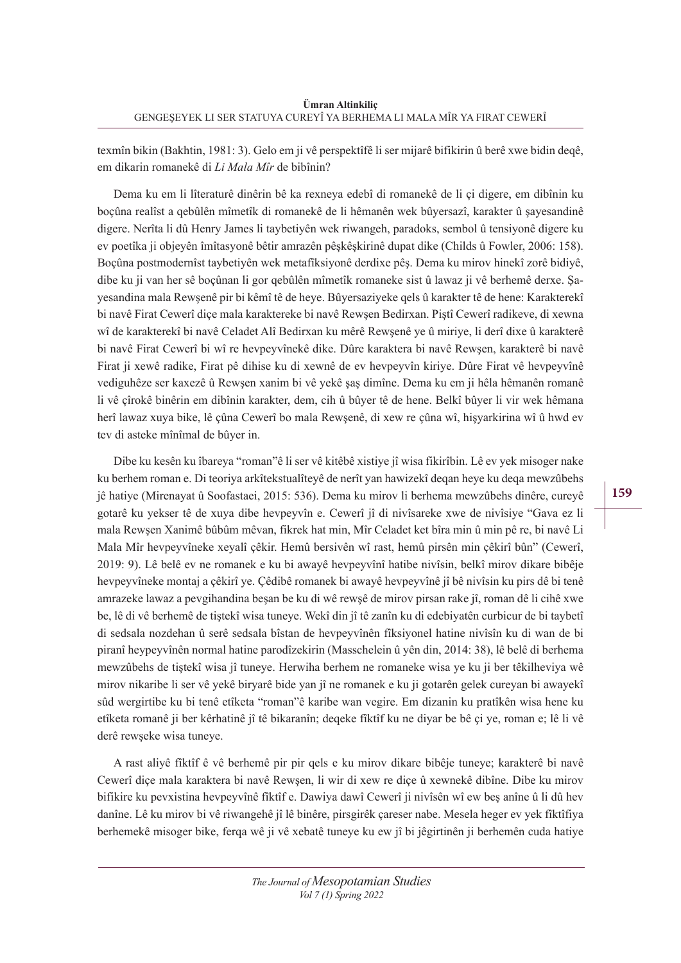texmîn bikin (Bakhtin, 1981: 3). Gelo em ji vê perspektîfê li ser mijarê bifikirin û berê xwe bidin deqê, em dikarin romanekê di *Li Mala Mîr* de bibînin?

Dema ku em li lîteraturê dinêrin bê ka rexneya edebî di romanekê de li çi digere, em dibînin ku boçûna realîst a qebûlên mîmetîk di romanekê de li hêmanên wek bûyersazî, karakter û sayesandinê digere. Nerîta li dû Henry James li taybetiyên wek riwangeh, paradoks, sembol û tensiyonê digere ku ev poetîka ji objeyên îmîtasyonê bêtir amrazên pêşkêşkirinê dupat dike (Childs û Fowler, 2006: 158). Boçûna postmodernîst taybetiyên wek metafîksiyonê derdixe pêş. Dema ku mirov hinekî zorê bidiyê, dibe ku ji van her sê boçûnan li gor qebûlên mîmetîk romaneke sist û lawaz ji vê berhemê derxe. Şayesandina mala Rewşenê pir bi kêmî tê de heye. Bûyersaziyeke qels û karakter tê de hene: Karakterekî bi navê Firat Cewerî diçe mala karaktereke bi navê Rewşen Bedirxan. Piştî Cewerî radikeve, di xewna wî de karakterekî bi navê Celadet Alî Bedirxan ku mêrê Rewşenê ye û miriye, li derî dixe û karakterê bi navê Firat Cewerî bi wî re hevpeyvînekê dike. Dûre karaktera bi navê Rewşen, karakterê bi navê Firat ji xewê radike, Firat pê dihise ku di xewnê de ev hevpeyvîn kiriye. Dûre Firat vê hevpeyvînê vediguhêze ser kaxezê û Rewşen xanim bi vê yekê şaş dimîne. Dema ku em ji hêla hêmanên romanê li vê çîrokê binêrin em dibînin karakter, dem, cih û bûyer tê de hene. Belkî bûyer li vir wek hêmana herî lawaz xuya bike, lê çûna Cewerî bo mala Rewşenê, di xew re çûna wî, hişyarkirina wî û hwd ev tev di asteke mînîmal de bûyer in.

Dibe ku kesên ku îbareya "roman"ê li ser vê kitêbê xistiye jî wisa fikirîbin. Lê ev yek misoger nake ku berhem roman e. Di teoriya arkîtekstualîteyê de nerît yan hawizekî deqan heye ku deqa mewzûbehs jê hatiye (Mirenayat û Soofastaei, 2015: 536). Dema ku mirov li berhema mewzûbehs dinêre, cureyê gotarê ku yekser tê de xuya dibe hevpeyvîn e. Cewerî jî di nivîsareke xwe de nivîsiye "Gava ez li mala Rewşen Xanimê bûbûm mêvan, fikrek hat min, Mîr Celadet ket bîra min û min pê re, bi navê Li Mala Mîr hevpeyvîneke xeyalî çêkir. Hemû bersivên wî rast, hemû pirsên min çêkirî bûn" (Cewerî, 2019: 9). Lê belê ev ne romanek e ku bi awayê hevpeyvînî hatibe nivîsin, belkî mirov dikare bibêje hevpeyvîneke montaj a çêkirî ye. Çêdibê romanek bi awayê hevpeyvînê jî bê nivîsin ku pirs dê bi tenê amrazeke lawaz a pevgihandina beşan be ku di wê rewşê de mirov pirsan rake jî, roman dê li cihê xwe be, lê di vê berhemê de tiştekî wisa tuneye. Wekî din jî tê zanîn ku di edebiyatên curbicur de bi taybetî di sedsala nozdehan û serê sedsala bîstan de hevpeyvînên fîksiyonel hatine nivîsîn ku di wan de bi piranî heypeyvînên normal hatine parodîzekirin (Masschelein û yên din, 2014: 38), lê belê di berhema mewzûbehs de tiştekî wisa jî tuneye. Herwiha berhem ne romaneke wisa ye ku ji ber têkilheviya wê mirov nikaribe li ser vê yekê biryarê bide yan jî ne romanek e ku ji gotarên gelek cureyan bi awayekî sûd wergirtibe ku bi tenê etîketa "roman"ê karibe wan vegire. Em dizanin ku pratîkên wisa hene ku etîketa romanê ji ber kêrhatinê jî tê bikaranîn; deqeke fîktîf ku ne diyar be bê çi ye, roman e; lê li vê derê rewşeke wisa tuneye.

A rast aliyê fîktîf ê vê berhemê pir pir qels e ku mirov dikare bibêje tuneye; karakterê bi navê Cewerî diçe mala karaktera bi navê Rewşen, li wir di xew re diçe û xewnekê dibîne. Dibe ku mirov bifikire ku pevxistina hevpeyvînê fîktîf e. Dawiya dawî Cewerî ji nivîsên wî ew beş anîne û li dû hev danîne. Lê ku mirov bi vê riwangehê jî lê binêre, pirsgirêk çareser nabe. Mesela heger ev yek fîktîfiya berhemekê misoger bike, ferqa wê ji vê xebatê tuneye ku ew jî bi jêgirtinên ji berhemên cuda hatiye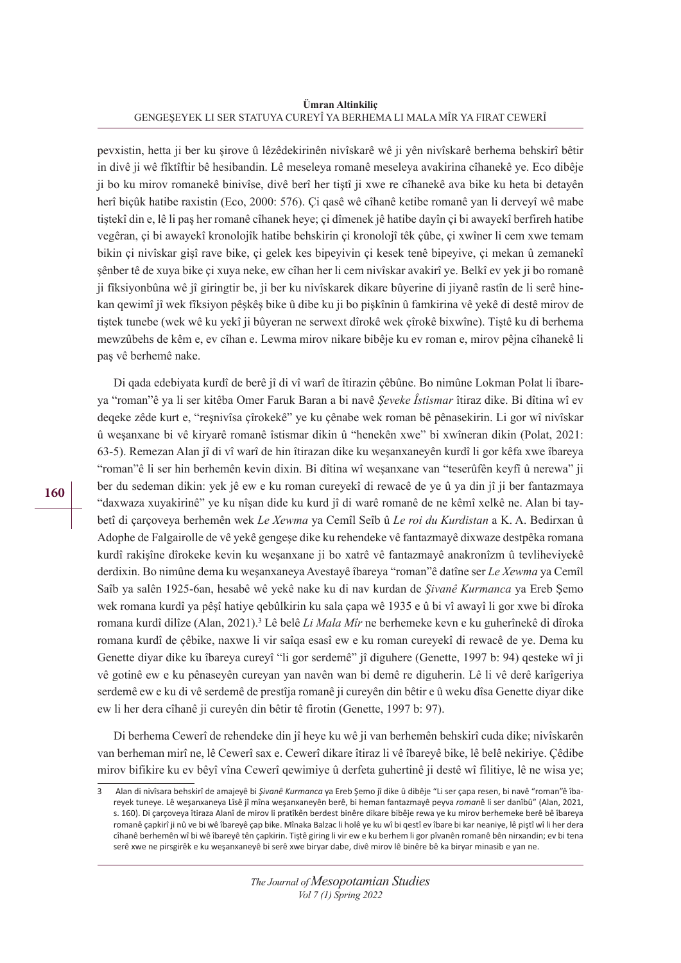**Ümran Altinkiliç** GENGEŞEYEK LI SER STATUYA CUREYÎ YA BERHEMA LI MALA MÎR YA FIRAT CEWERÎ

pevxistin, hetta ji ber ku şirove û lêzêdekirinên nivîskarê wê ji yên nivîskarê berhema behskirî bêtir in divê ji wê fîktîftir bê hesibandin. Lê meseleya romanê meseleya avakirina cîhanekê ye. Eco dibêje ji bo ku mirov romanekê binivîse, divê berî her tiştî ji xwe re cîhanekê ava bike ku heta bi detayên herî biçûk hatibe raxistin (Eco, 2000: 576). Çi qasê wê cîhanê ketibe romanê yan li derveyî wê mabe tiştekî din e, lê li paş her romanê cîhanek heye; çi dîmenek jê hatibe dayîn çi bi awayekî berfireh hatibe vegêran, çi bi awayekî kronolojîk hatibe behskirin çi kronolojî têk çûbe, çi xwîner li cem xwe temam bikin çi nivîskar gişî rave bike, çi gelek kes bipeyivin çi kesek tenê bipeyive, çi mekan û zemanekî şênber tê de xuya bike çi xuya neke, ew cîhan her li cem nivîskar avakirî ye. Belkî ev yek ji bo romanê ji fîksiyonbûna wê jî giringtir be, ji ber ku nivîskarek dikare bûyerine di jiyanê rastîn de li serê hinekan qewimî jî wek fîksiyon pêşkêş bike û dibe ku ji bo pişkînin û famkirina vê yekê di destê mirov de tiştek tunebe (wek wê ku yekî ji bûyeran ne serwext dîrokê wek çîrokê bixwîne). Tiştê ku di berhema mewzûbehs de kêm e, ev cîhan e. Lewma mirov nikare bibêje ku ev roman e, mirov pêjna cîhanekê li paş vê berhemê nake.

Di qada edebiyata kurdî de berê jî di vî warî de îtirazin çêbûne. Bo nimûne Lokman Polat li îbareya "roman"ê ya li ser kitêba Omer Faruk Baran a bi navê *Şeveke Îstismar* îtiraz dike. Bi dîtina wî ev deqeke zêde kurt e, "reşnivîsa çîrokekê" ye ku çênabe wek roman bê pênasekirin. Li gor wî nivîskar û weşanxane bi vê kiryarê romanê îstismar dikin û "henekên xwe" bi xwîneran dikin (Polat, 2021: 63-5). Remezan Alan jî di vî warî de hin îtirazan dike ku weşanxaneyên kurdî li gor kêfa xwe îbareya "roman"ê li ser hin berhemên kevin dixin. Bi dîtina wî weşanxane van "teserûfên keyfî û nerewa" ji ber du sedeman dikin: yek jê ew e ku roman cureyekî di rewacê de ye û ya din jî ji ber fantazmaya "daxwaza xuyakirinê" ye ku nîşan dide ku kurd jî di warê romanê de ne kêmî xelkê ne. Alan bi taybetî di çarçoveya berhemên wek *Le Xewma* ya Cemîl Seîb û *Le roi du Kurdistan* a K. A. Bedirxan û Adophe de Falgairolle de vê yekê gengeşe dike ku rehendeke vê fantazmayê dixwaze destpêka romana kurdî rakişîne dîrokeke kevin ku weşanxane ji bo xatrê vê fantazmayê anakronîzm û tevliheviyekê derdixin. Bo nimûne dema ku weşanxaneya Avestayê îbareya "roman"ê datîne ser *Le Xewma* ya Cemîl Saîb ya salên 1925-6an, hesabê wê yekê nake ku di nav kurdan de *Şivanê Kurmanca* ya Ereb Şemo wek romana kurdî ya pêşî hatiye qebûlkirin ku sala çapa wê 1935 e û bi vî awayî li gor xwe bi dîroka romana kurdî dilîze (Alan, 2021).<sup>3</sup> Lê belê *Li Mala Mîr* ne berhemeke kevn e ku guherînekê di dîroka romana kurdî de çêbike, naxwe li vir saîqa esasî ew e ku roman cureyekî di rewacê de ye. Dema ku Genette diyar dike ku îbareya cureyî "li gor serdemê" jî diguhere (Genette, 1997 b: 94) qesteke wî ji vê gotinê ew e ku pênaseyên cureyan yan navên wan bi demê re diguherin. Lê li vê derê karîgeriya serdemê ew e ku di vê serdemê de prestîja romanê ji cureyên din bêtir e û weku dîsa Genette diyar dike ew li her dera cîhanê ji cureyên din bêtir tê firotin (Genette, 1997 b: 97).

Di berhema Cewerî de rehendeke din jî heye ku wê ji van berhemên behskirî cuda dike; nivîskarên van berheman mirî ne, lê Cewerî sax e. Cewerî dikare îtiraz li vê îbareyê bike, lê belê nekiriye. Çêdibe mirov bifikire ku ev bêyî vîna Cewerî qewimiye û derfeta guhertinê ji destê wî filitiye, lê ne wisa ye;

<sup>3</sup> Alan di nivîsara behskirî de amajeyê bi *Şivanê Kurmanca* ya Ereb Şemo jî dike û dibêje "Li ser çapa resen, bi navê "roman"ê îbareyek tuneye. Lê weşanxaneya Lîsê jî mîna weşanxaneyên berê, bi heman fantazmayê peyva *roman*ê li ser danîbû" (Alan, 2021, s. 160). Di çarçoveya îtiraza Alanî de mirov li pratîkên berdest binêre dikare bibêje rewa ye ku mirov berhemeke berê bê îbareya romanê çapkirî ji nû ve bi wê îbareyê çap bike. Mînaka Balzac li holê ye ku wî bi qestî ev îbare bi kar neaniye, lê piştî wî li her dera cîhanê berhemên wî bi wê îbareyê tên çapkirin. Tiştê giring li vir ew e ku berhem li gor pîvanên romanê bên nirxandin; ev bi tena serê xwe ne pirsgirêk e ku weşanxaneyê bi serê xwe biryar dabe, divê mirov lê binêre bê ka biryar minasib e yan ne.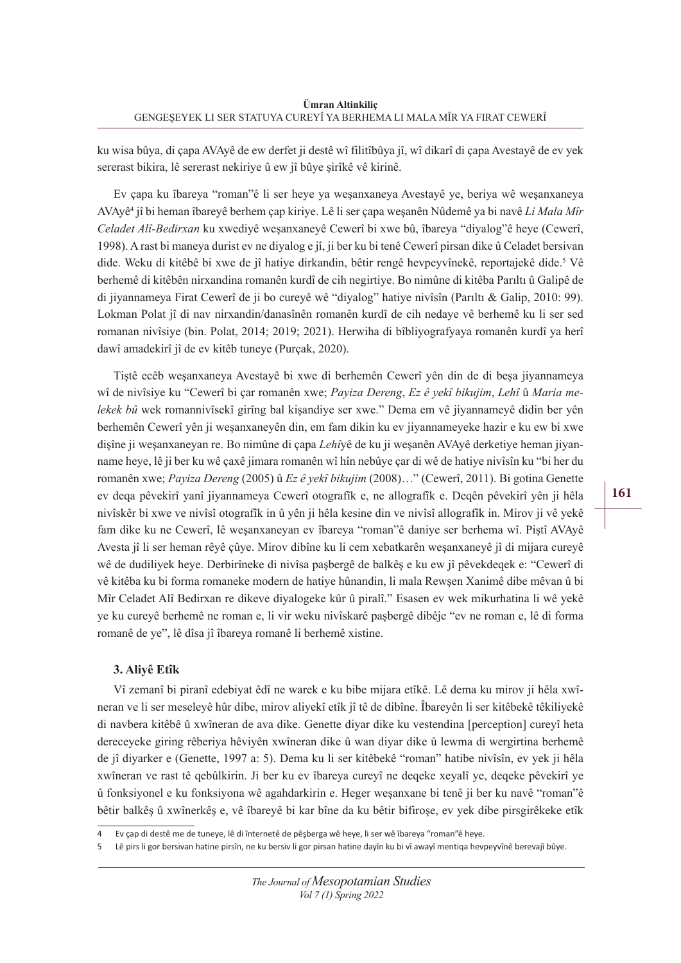ku wisa bûya, di çapa AVAyê de ew derfet ji destê wî filitîbûya jî, wî dikarî di çapa Avestayê de ev yek sererast bikira, lê sererast nekiriye û ew jî bûye şirîkê vê kirinê.

Ev çapa ku îbareya "roman"ê li ser heye ya weşanxaneya Avestayê ye, beriya wê weşanxaneya AVAyê4 jî bi heman îbareyê berhem çap kiriye. Lê li ser çapa weşanên Nûdemê ya bi navê *Li Mala Mîr Celadet Alî-Bedirxan* ku xwediyê weşanxaneyê Cewerî bi xwe bû, îbareya "diyalog"ê heye (Cewerî, 1998). A rast bi maneya durist ev ne diyalog e jî, ji ber ku bi tenê Cewerî pirsan dike û Celadet bersivan dide. Weku di kitêbê bi xwe de jî hatiye dirkandin, bêtir rengê hevpeyvînekê, reportajekê dide.<sup>5</sup> Vê berhemê di kitêbên nirxandina romanên kurdî de cih negirtiye. Bo nimûne di kitêba Parıltı û Galipê de di jiyannameya Firat Cewerî de ji bo cureyê wê "diyalog" hatiye nivîsîn (Parıltı & Galip, 2010: 99). Lokman Polat jî di nav nirxandin/danasînên romanên kurdî de cih nedaye vê berhemê ku li ser sed romanan nivîsiye (bin. Polat, 2014; 2019; 2021). Herwiha di bîbliyografyaya romanên kurdî ya herî dawî amadekirî jî de ev kitêb tuneye (Purçak, 2020).

Tiştê ecêb weşanxaneya Avestayê bi xwe di berhemên Cewerî yên din de di beşa jiyannameya wî de nivîsiye ku "Cewerî bi çar romanên xwe; *Payiza Dereng*, *Ez ê yekî bikujim*, *Lehî* û *Maria melekek bû* wek romannivîsekî girîng bal kişandiye ser xwe." Dema em vê jiyannameyê didin ber yên berhemên Cewerî yên ji weşanxaneyên din, em fam dikin ku ev jiyannameyeke hazir e ku ew bi xwe dişîne ji weşanxaneyan re. Bo nimûne di çapa *Lehî*yê de ku ji weşanên AVAyê derketiye heman jiyanname heye, lê ji ber ku wê çaxê jimara romanên wî hîn nebûye çar di wê de hatiye nivîsîn ku "bi her du romanên xwe; *Payiza Dereng* (2005) û *Ez ê yekî bikujim* (2008)…" (Cewerî, 2011). Bi gotina Genette ev deqa pêvekirî yanî jiyannameya Cewerî otografîk e, ne allografîk e. Deqên pêvekirî yên ji hêla nivîskêr bi xwe ve nivîsî otografîk in û yên ji hêla kesine din ve nivîsî allografîk in. Mirov ji vê yekê fam dike ku ne Cewerî, lê weşanxaneyan ev îbareya "roman"ê daniye ser berhema wî. Piştî AVAyê Avesta jî li ser heman rêyê çûye. Mirov dibîne ku li cem xebatkarên weşanxaneyê jî di mijara cureyê wê de dudiliyek heye. Derbirîneke di nivîsa paşbergê de balkêş e ku ew jî pêvekdeqek e: "Cewerî di vê kitêba ku bi forma romaneke modern de hatiye hûnandin, li mala Rewşen Xanimê dibe mêvan û bi Mîr Celadet Alî Bedirxan re dikeve diyalogeke kûr û piralî." Esasen ev wek mikurhatina li wê yekê ye ku cureyê berhemê ne roman e, li vir weku nivîskarê paşbergê dibêje "ev ne roman e, lê di forma romanê de ye", lê dîsa jî îbareya romanê li berhemê xistine.

### **3. Aliyê Etîk**

Vî zemanî bi piranî edebiyat êdî ne warek e ku bibe mijara etîkê. Lê dema ku mirov ji hêla xwîneran ve li ser meseleyê hûr dibe, mirov aliyekî etîk jî tê de dibîne. Îbareyên li ser kitêbekê têkiliyekê di navbera kitêbê û xwîneran de ava dike. Genette diyar dike ku vestendina [perception] cureyî heta dereceyeke giring rêberiya hêviyên xwîneran dike û wan diyar dike û lewma di wergirtina berhemê de jî diyarker e (Genette, 1997 a: 5). Dema ku li ser kitêbekê "roman" hatibe nivîsîn, ev yek ji hêla xwîneran ve rast tê qebûlkirin. Ji ber ku ev îbareya cureyî ne deqeke xeyalî ye, deqeke pêvekirî ye û fonksiyonel e ku fonksiyona wê agahdarkirin e. Heger weşanxane bi tenê ji ber ku navê "roman"ê bêtir balkêş û xwînerkêş e, vê îbareyê bi kar bîne da ku bêtir bifiroşe, ev yek dibe pirsgirêkeke etîk

<sup>4</sup> Ev çap di destê me de tuneye, lê di înternetê de pêşberga wê heye, li ser wê îbareya "roman"ê heye.

Lê pirs li gor bersivan hatine pirsîn, ne ku bersiv li gor pirsan hatine dayîn ku bi vî awayî mentiqa hevpeyvînê berevajî bûye.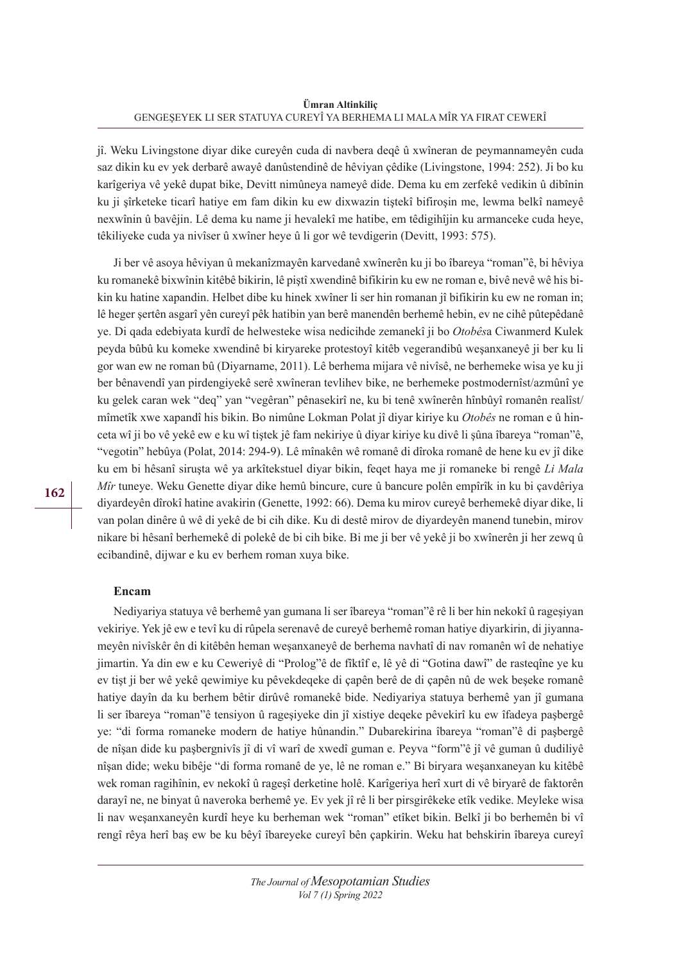jî. Weku Livingstone diyar dike cureyên cuda di navbera deqê û xwîneran de peymannameyên cuda saz dikin ku ev yek derbarê awayê danûstendinê de hêviyan çêdike (Livingstone, 1994: 252). Ji bo ku karîgeriya vê yekê dupat bike, Devitt nimûneya nameyê dide. Dema ku em zerfekê vedikin û dibînin ku ji şîrketeke ticarî hatiye em fam dikin ku ew dixwazin tiştekî bifiroşin me, lewma belkî nameyê nexwînin û bavêjin. Lê dema ku name ji hevalekî me hatibe, em têdigihîjin ku armanceke cuda heye, têkiliyeke cuda ya nivîser û xwîner heye û li gor wê tevdigerin (Devitt, 1993: 575).

Ji ber vê asoya hêviyan û mekanîzmayên karvedanê xwînerên ku ji bo îbareya "roman"ê, bi hêviya ku romanekê bixwînin kitêbê bikirin, lê piştî xwendinê bifikirin ku ew ne roman e, bivê nevê wê his bikin ku hatine xapandin. Helbet dibe ku hinek xwîner li ser hin romanan jî bifikirin ku ew ne roman in; lê heger şertên asgarî yên cureyî pêk hatibin yan berê manendên berhemê hebin, ev ne cihê pûtepêdanê ye. Di qada edebiyata kurdî de helwesteke wisa nedicihde zemanekî ji bo *Otobês*a Ciwanmerd Kulek peyda bûbû ku komeke xwendinê bi kiryareke protestoyî kitêb vegerandibû weşanxaneyê ji ber ku li gor wan ew ne roman bû (Diyarname, 2011). Lê berhema mijara vê nivîsê, ne berhemeke wisa ye ku ji ber bênavendî yan pirdengiyekê serê xwîneran tevlihev bike, ne berhemeke postmodernîst/azmûnî ye ku gelek caran wek "deq" yan "vegêran" pênasekirî ne, ku bi tenê xwînerên hînbûyî romanên realîst/ mîmetîk xwe xapandî his bikin. Bo nimûne Lokman Polat jî diyar kiriye ku *Otobês* ne roman e û hinceta wî ji bo vê yekê ew e ku wî tiştek jê fam nekiriye û diyar kiriye ku divê li şûna îbareya "roman"ê, "vegotin" hebûya (Polat, 2014: 294-9). Lê mînakên wê romanê di dîroka romanê de hene ku ev jî dike ku em bi hêsanî siruşta wê ya arkîtekstuel diyar bikin, feqet haya me ji romaneke bi rengê *Li Mala Mîr* tuneye. Weku Genette diyar dike hemû bincure, cure û bancure polên empîrîk in ku bi çavdêriya diyardeyên dîrokî hatine avakirin (Genette, 1992: 66). Dema ku mirov cureyê berhemekê diyar dike, li van polan dinêre û wê di yekê de bi cih dike. Ku di destê mirov de diyardeyên manend tunebin, mirov nikare bi hêsanî berhemekê di polekê de bi cih bike. Bi me ji ber vê yekê ji bo xwînerên ji her zewq û ecibandinê, dijwar e ku ev berhem roman xuya bike.

#### **Encam**

Nediyariya statuya vê berhemê yan gumana li ser îbareya "roman"ê rê li ber hin nekokî û rageşiyan vekiriye. Yek jê ew e tevî ku di rûpela serenavê de cureyê berhemê roman hatiye diyarkirin, di jiyannameyên nivîskêr ên di kitêbên heman weşanxaneyê de berhema navhatî di nav romanên wî de nehatiye jimartin. Ya din ew e ku Ceweriyê di "Prolog"ê de fîktîf e, lê yê di "Gotina dawî" de rasteqîne ye ku ev tişt ji ber wê yekê qewimiye ku pêvekdeqeke di çapên berê de di çapên nû de wek beşeke romanê hatiye dayîn da ku berhem bêtir dirûvê romanekê bide. Nediyariya statuya berhemê yan jî gumana li ser îbareya "roman"ê tensiyon û rageşiyeke din jî xistiye deqeke pêvekirî ku ew îfadeya paşbergê ye: "di forma romaneke modern de hatiye hûnandin." Dubarekirina îbareya "roman"ê di paşbergê de nîşan dide ku paşbergnivîs jî di vî warî de xwedî guman e. Peyva "form"ê jî vê guman û dudiliyê nîşan dide; weku bibêje "di forma romanê de ye, lê ne roman e." Bi biryara weşanxaneyan ku kitêbê wek roman ragihînin, ev nekokî û rageşî derketine holê. Karîgeriya herî xurt di vê biryarê de faktorên darayî ne, ne binyat û naveroka berhemê ye. Ev yek jî rê li ber pirsgirêkeke etîk vedike. Meyleke wisa li nav weşanxaneyên kurdî heye ku berheman wek "roman" etîket bikin. Belkî ji bo berhemên bi vî rengî rêya herî baş ew be ku bêyî îbareyeke cureyî bên çapkirin. Weku hat behskirin îbareya cureyî